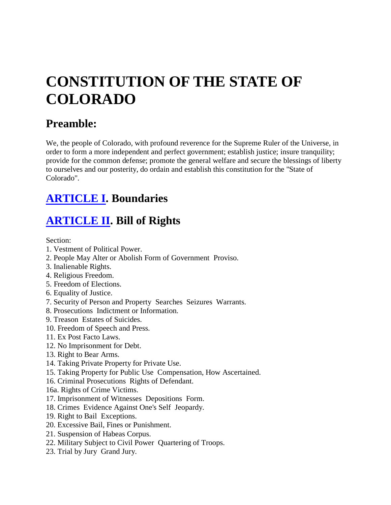# **CONSTITUTION OF THE STATE OF COLORADO**

# **Preamble:**

We, the people of Colorado, with profound reverence for the Supreme Ruler of the Universe, in order to form a more independent and perfect government; establish justice; insure tranquility; provide for the common defense; promote the general welfare and secure the blessings of liberty to ourselves and our posterity, do ordain and establish this constitution for the "State of Colorado".

# **[ARTICLE I.](http://www.i2i.org/Publications/ColoradoConstitution/cnart1.htm) Boundaries**

# **[ARTICLE II.](http://www.i2i.org/Publications/ColoradoConstitution/cnart2.htm) Bill of Rights**

Section:

- 1. Vestment of Political Power.
- 2. People May Alter or Abolish Form of Government Proviso.
- 3. Inalienable Rights.
- 4. Religious Freedom.
- 5. Freedom of Elections.
- 6. Equality of Justice.
- 7. Security of Person and Property Searches Seizures Warrants.
- 8. Prosecutions Indictment or Information.
- 9. Treason Estates of Suicides.
- 10. Freedom of Speech and Press.
- 11. Ex Post Facto Laws.
- 12. No Imprisonment for Debt.
- 13. Right to Bear Arms.
- 14. Taking Private Property for Private Use.
- 15. Taking Property for Public Use Compensation, How Ascertained.
- 16. Criminal Prosecutions Rights of Defendant.
- 16a. Rights of Crime Victims.
- 17. Imprisonment of Witnesses Depositions Form.
- 18. Crimes Evidence Against One's Self Jeopardy.
- 19. Right to Bail Exceptions.
- 20. Excessive Bail, Fines or Punishment.
- 21. Suspension of Habeas Corpus.
- 22. Military Subject to Civil Power Quartering of Troops.
- 23. Trial by Jury Grand Jury.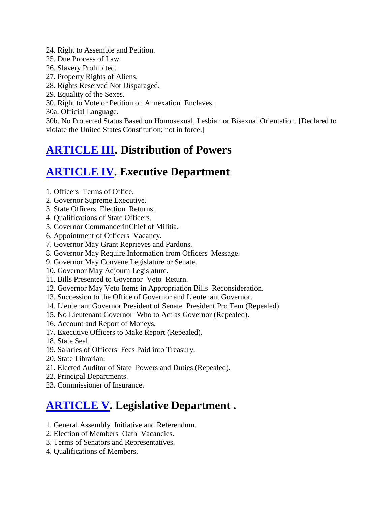- 24. Right to Assemble and Petition.
- 25. Due Process of Law.
- 26. Slavery Prohibited.
- 27. Property Rights of Aliens.
- 28. Rights Reserved Not Disparaged.
- 29. Equality of the Sexes.
- 30. Right to Vote or Petition on Annexation Enclaves.

30a. Official Language.

30b. No Protected Status Based on Homosexual, Lesbian or Bisexual Orientation. [Declared to violate the United States Constitution; not in force.]

### **[ARTICLE III.](http://www.i2i.org/Publications/ColoradoConstitution/cnart3.htm) Distribution of Powers**

### **[ARTICLE IV.](http://www.i2i.org/Publications/ColoradoConstitution/cnart4.htm) Executive Department**

- 1. Officers Terms of Office.
- 2. Governor Supreme Executive.
- 3. State Officers Election Returns.
- 4. Qualifications of State Officers.
- 5. Governor CommanderinChief of Militia.
- 6. Appointment of Officers Vacancy.
- 7. Governor May Grant Reprieves and Pardons.
- 8. Governor May Require Information from Officers Message.
- 9. Governor May Convene Legislature or Senate.
- 10. Governor May Adjourn Legislature.
- 11. Bills Presented to Governor Veto Return.
- 12. Governor May Veto Items in Appropriation Bills Reconsideration.
- 13. Succession to the Office of Governor and Lieutenant Governor.
- 14. Lieutenant Governor President of Senate President Pro Tem (Repealed).
- 15. No Lieutenant Governor Who to Act as Governor (Repealed).
- 16. Account and Report of Moneys.
- 17. Executive Officers to Make Report (Repealed).
- 18. State Seal.
- 19. Salaries of Officers Fees Paid into Treasury.
- 20. State Librarian.
- 21. Elected Auditor of State Powers and Duties (Repealed).
- 22. Principal Departments.
- 23. Commissioner of Insurance.

### **[ARTICLE V.](http://www.i2i.org/Publications/ColoradoConstitution/cnart5.htm) Legislative Department .**

- 1. General Assembly Initiative and Referendum.
- 2. Election of Members Oath Vacancies.
- 3. Terms of Senators and Representatives.
- 4. Qualifications of Members.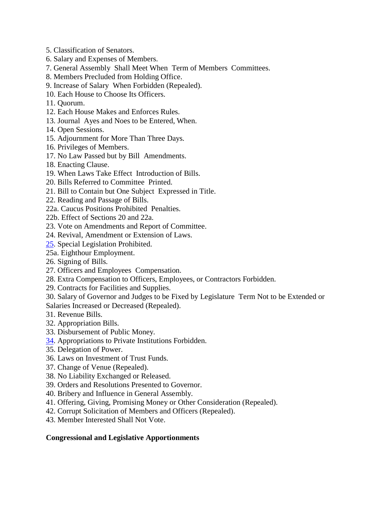- 5. Classification of Senators.
- 6. Salary and Expenses of Members.
- 7. General Assembly Shall Meet When Term of Members Committees.
- 8. Members Precluded from Holding Office.
- 9. Increase of Salary When Forbidden (Repealed).
- 10. Each House to Choose Its Officers.
- 11. Quorum.
- 12. Each House Makes and Enforces Rules.
- 13. Journal Ayes and Noes to be Entered, When.
- 14. Open Sessions.
- 15. Adjournment for More Than Three Days.
- 16. Privileges of Members.
- 17. No Law Passed but by Bill Amendments.
- 18. Enacting Clause.
- 19. When Laws Take Effect Introduction of Bills.
- 20. Bills Referred to Committee Printed.
- 21. Bill to Contain but One Subject Expressed in Title.
- 22. Reading and Passage of Bills.
- 22a. Caucus Positions Prohibited Penalties.
- 22b. Effect of Sections 20 and 22a.
- 23. Vote on Amendments and Report of Committee.
- 24. Revival, Amendment or Extension of Laws.
- [25.](http://www.i2i.org/Publications/ColoradoConstitution/cnart5.htm#25) Special Legislation Prohibited.
- 25a. Eighthour Employment.
- 26. Signing of Bills.
- 27. Officers and Employees Compensation.
- 28. Extra Compensation to Officers, Employees, or Contractors Forbidden.
- 29. Contracts for Facilities and Supplies.
- 30. Salary of Governor and Judges to be Fixed by Legislature Term Not to be Extended or
- Salaries Increased or Decreased (Repealed).
- 31. Revenue Bills.
- 32. Appropriation Bills.
- 33. Disbursement of Public Money.
- [34.](http://www.i2i.org/Publications/ColoradoConstitution/cnart5.htm#34) Appropriations to Private Institutions Forbidden.
- 35. Delegation of Power.
- 36. Laws on Investment of Trust Funds.
- 37. Change of Venue (Repealed).
- 38. No Liability Exchanged or Released.
- 39. Orders and Resolutions Presented to Governor.
- 40. Bribery and Influence in General Assembly.
- 41. Offering, Giving, Promising Money or Other Consideration (Repealed).
- 42. Corrupt Solicitation of Members and Officers (Repealed).
- 43. Member Interested Shall Not Vote.

#### **Congressional and Legislative Apportionments**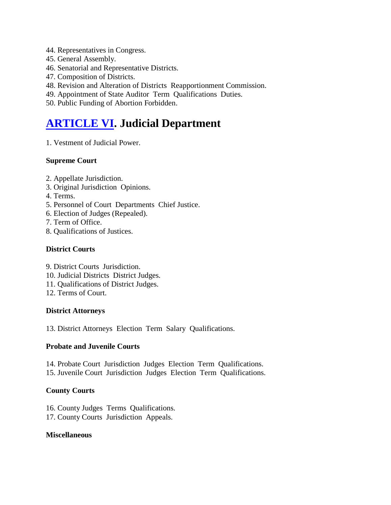- 44. Representatives in Congress.
- 45. General Assembly.
- 46. Senatorial and Representative Districts.
- 47. Composition of Districts.
- 48. Revision and Alteration of Districts Reapportionment Commission.
- 49. Appointment of State Auditor Term Qualifications Duties.
- 50. Public Funding of Abortion Forbidden.

### **[ARTICLE VI.](http://www.i2i.org/Publications/ColoradoConstitution/cnart6.htm) Judicial Department**

1. Vestment of Judicial Power.

#### **Supreme Court**

- 2. Appellate Jurisdiction.
- 3. Original Jurisdiction Opinions.
- 4. Terms.
- 5. Personnel of Court Departments Chief Justice.
- 6. Election of Judges (Repealed).
- 7. Term of Office.
- 8. Qualifications of Justices.

#### **District Courts**

- 9. District Courts Jurisdiction.
- 10. Judicial Districts District Judges.
- 11. Qualifications of District Judges.
- 12. Terms of Court.

#### **District Attorneys**

13. District Attorneys Election Term Salary Qualifications.

#### **Probate and Juvenile Courts**

14. Probate Court Jurisdiction Judges Election Term Qualifications. 15. Juvenile Court Jurisdiction Judges Election Term Qualifications.

#### **County Courts**

- 16. County Judges Terms Qualifications.
- 17. County Courts Jurisdiction Appeals.

#### **Miscellaneous**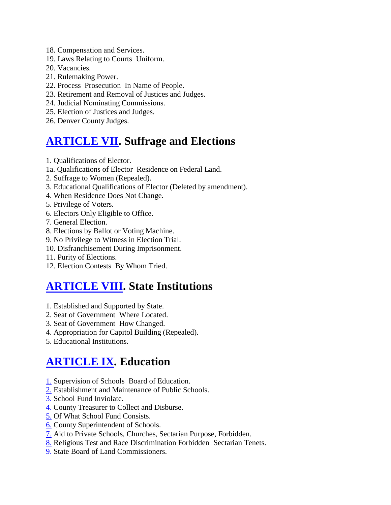- 18. Compensation and Services.
- 19. Laws Relating to Courts Uniform.
- 20. Vacancies.
- 21. Rulemaking Power.
- 22. Process Prosecution In Name of People.
- 23. Retirement and Removal of Justices and Judges.
- 24. Judicial Nominating Commissions.
- 25. Election of Justices and Judges.
- 26. Denver County Judges.

### **[ARTICLE VII.](http://www.i2i.org/Publications/ColoradoConstitution/cnart7.htm) Suffrage and Elections**

- 1. Qualifications of Elector.
- 1a. Qualifications of Elector Residence on Federal Land.
- 2. Suffrage to Women (Repealed).
- 3. Educational Qualifications of Elector (Deleted by amendment).
- 4. When Residence Does Not Change.
- 5. Privilege of Voters.
- 6. Electors Only Eligible to Office.
- 7. General Election.
- 8. Elections by Ballot or Voting Machine.
- 9. No Privilege to Witness in Election Trial.
- 10. Disfranchisement During Imprisonment.
- 11. Purity of Elections.
- 12. Election Contests By Whom Tried.

# **[ARTICLE VIII.](http://www.i2i.org/Publications/ColoradoConstitution/cnart8.htm) State Institutions**

- 1. Established and Supported by State.
- 2. Seat of Government Where Located.
- 3. Seat of Government How Changed.
- 4. Appropriation for Capitol Building (Repealed).
- 5. Educational Institutions.

# **[ARTICLE IX.](http://www.i2i.org/Publications/ColoradoConstitution/cnart9.htm) Education**

- [1.](http://www.i2i.org/Publications/ColoradoConstitution/cnart9.htm#Section%201) Supervision of Schools Board of Education.
- [2.](http://www.i2i.org/Publications/ColoradoConstitution/cnart9.htm#Section%202) Establishment and Maintenance of Public Schools.
- [3.](http://www.i2i.org/Publications/ColoradoConstitution/cnart9.htm#Section%203) School Fund Inviolate.
- [4.](http://www.i2i.org/Publications/ColoradoConstitution/cnart9.htm#Section%204) County Treasurer to Collect and Disburse.
- [5.](http://www.i2i.org/Publications/ColoradoConstitution/cnart9.htm#Section%205) Of What School Fund Consists.
- [6.](http://www.i2i.org/Publications/ColoradoConstitution/cnart9.htm#Section%206) County Superintendent of Schools.
- [7.](http://www.i2i.org/Publications/ColoradoConstitution/cnart9.htm#Section%207) Aid to Private Schools, Churches, Sectarian Purpose, Forbidden.
- [8.](http://www.i2i.org/Publications/ColoradoConstitution/cnart9.htm#Section%208) Religious Test and Race Discrimination Forbidden Sectarian Tenets.
- [9.](http://www.i2i.org/Publications/ColoradoConstitution/cnart9.htm#Section%209) State Board of Land Commissioners.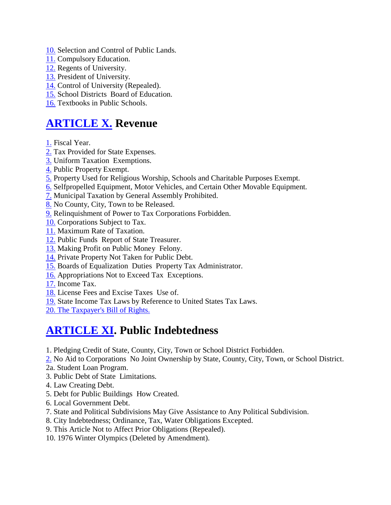- [10.](http://www.i2i.org/Publications/ColoradoConstitution/cnart9.htm#Section%2010/) Selection and Control of Public Lands.
- [11.](http://www.i2i.org/Publications/ColoradoConstitution/cnart9.htm#Section%2011) Compulsory Education.
- [12.](http://www.i2i.org/Publications/ColoradoConstitution/cnart9.htm#Section%2012) Regents of University.
- [13.](http://www.i2i.org/Publications/ColoradoConstitution/cnart9.htm#Section%2013) President of University.
- [14.](http://www.i2i.org/Publications/ColoradoConstitution/cnart9.htm#Section%2014) Control of University (Repealed).
- [15.](http://www.i2i.org/Publications/ColoradoConstitution/cnart9.htm#Section%2015) School Districts Board of Education.
- [16.](http://www.i2i.org/Publications/ColoradoConstitution/cnart9.htm#Section%2016) Textbooks in Public Schools.

#### **[ARTICLE X.](http://www.i2i.org/Publications/ColoradoConstitution/cnart10.htm) Revenue**

[1.](http://www.i2i.org/Publications/ColoradoConstitution/cnart10.htm#Section%201) Fiscal Year.

- [2.](http://www.i2i.org/Publications/ColoradoConstitution/cnart10.htm#Section%202) Tax Provided for State Expenses.
- [3.](http://www.i2i.org/Publications/ColoradoConstitution/cnart10.htm#Section%203) Uniform Taxation Exemptions.
- [4.](http://www.i2i.org/Publications/ColoradoConstitution/cnart10.htm#Section%204) Public Property Exempt.
- [5.](http://www.i2i.org/Publications/ColoradoConstitution/cnart10.htm#Section%205) Property Used for Religious Worship, Schools and Charitable Purposes Exempt.
- [6.](http://www.i2i.org/Publications/ColoradoConstitution/cnart10.htm#Section%206) Selfpropelled Equipment, Motor Vehicles, and Certain Other Movable Equipment.
- [7.](http://www.i2i.org/Publications/ColoradoConstitution/cnart10.htm#Section%207) Municipal Taxation by General Assembly Prohibited.
- [8.](http://www.i2i.org/Publications/ColoradoConstitution/cnart10.htm#Section%208) No County, City, Town to be Released.
- [9.](http://www.i2i.org/Publications/ColoradoConstitution/cnart10.htm#Section%209) Relinquishment of Power to Tax Corporations Forbidden.
- [10.](http://www.i2i.org/Publications/ColoradoConstitution/cnart10.htm#Section%2010) Corporations Subject to Tax.
- [11.](http://www.i2i.org/Publications/ColoradoConstitution/cnart10.htm#Section%2011) Maximum Rate of Taxation.
- [12.](http://www.i2i.org/Publications/ColoradoConstitution/cnart10.htm#Section%2012) Public Funds Report of State Treasurer.
- [13.](http://www.i2i.org/Publications/ColoradoConstitution/cnart10.htm#Section%2013) Making Profit on Public Money Felony.
- [14.](http://www.i2i.org/Publications/ColoradoConstitution/cnart10.htm#Section%2014) Private Property Not Taken for Public Debt.
- [15.](http://www.i2i.org/Publications/ColoradoConstitution/cnart10.htm#Section%2015) Boards of Equalization Duties Property Tax Administrator.
- [16.](http://www.i2i.org/Publications/ColoradoConstitution/cnart10.htm#Section%2016) Appropriations Not to Exceed Tax Exceptions.
- [17.](http://www.i2i.org/Publications/ColoradoConstitution/cnart10.htm#Section%2017) Income Tax.
- [18.](http://www.i2i.org/Publications/ColoradoConstitution/cnart10.htm#Section%2018) License Fees and Excise Taxes Use of.
- [19.](http://www.i2i.org/Publications/ColoradoConstitution/cnart10.htm#Section%2019) State Income Tax Laws by Reference to United States Tax Laws.

[20. The Taxpayer's Bill of Rights.](http://www.i2i.org/Publications/ColoradoConstitution/cnart10.htm#20) 

#### **[ARTICLE XI.](http://www.i2i.org/Publications/ColoradoConstitution/cnart11.htm) Public Indebtedness**

- 1. Pledging Credit of State, County, City, Town or School District Forbidden.
- [2.](http://www.i2i.org/Publications/ColoradoConstitution/cnart11.htm#Section%202) No Aid to Corporations No Joint Ownership by State, County, City, Town, or School District.
- 2a. Student Loan Program.
- 3. Public Debt of State Limitations.
- 4. Law Creating Debt.
- 5. Debt for Public Buildings How Created.
- 6. Local Government Debt.
- 7. State and Political Subdivisions May Give Assistance to Any Political Subdivision.
- 8. City Indebtedness; Ordinance, Tax, Water Obligations Excepted.
- 9. This Article Not to Affect Prior Obligations (Repealed).
- 10. 1976 Winter Olympics (Deleted by Amendment).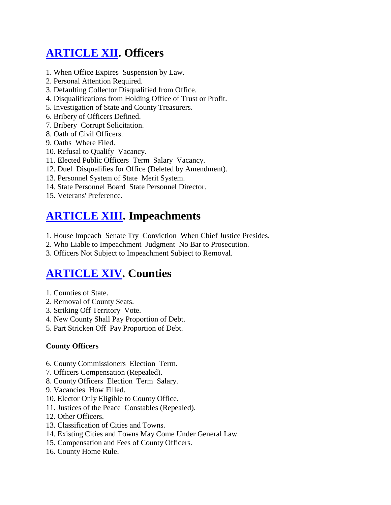# **[ARTICLE XII.](http://www.i2i.org/Publications/ColoradoConstitution/cnart12.htm) Officers**

- 1. When Office Expires Suspension by Law.
- 2. Personal Attention Required.
- 3. Defaulting Collector Disqualified from Office.
- 4. Disqualifications from Holding Office of Trust or Profit.
- 5. Investigation of State and County Treasurers.
- 6. Bribery of Officers Defined.
- 7. Bribery Corrupt Solicitation.
- 8. Oath of Civil Officers.
- 9. Oaths Where Filed.
- 10. Refusal to Qualify Vacancy.
- 11. Elected Public Officers Term Salary Vacancy.
- 12. Duel Disqualifies for Office (Deleted by Amendment).
- 13. Personnel System of State Merit System.
- 14. State Personnel Board State Personnel Director.
- 15. Veterans' Preference.

### **[ARTICLE XIII.](http://www.i2i.org/Publications/ColoradoConstitution/cnart13.htm) Impeachments**

- 1. House Impeach Senate Try Conviction When Chief Justice Presides.
- 2. Who Liable to Impeachment Judgment No Bar to Prosecution.
- 3. Officers Not Subject to Impeachment Subject to Removal.

## **[ARTICLE XIV.](http://www.i2i.org/Publications/ColoradoConstitution/cnart14.htm) Counties**

- 1. Counties of State.
- 2. Removal of County Seats.
- 3. Striking Off Territory Vote.
- 4. New County Shall Pay Proportion of Debt.
- 5. Part Stricken Off Pay Proportion of Debt.

#### **County Officers**

- 6. County Commissioners Election Term.
- 7. Officers Compensation (Repealed).
- 8. County Officers Election Term Salary.
- 9. Vacancies How Filled.
- 10. Elector Only Eligible to County Office.
- 11. Justices of the Peace Constables (Repealed).
- 12. Other Officers.
- 13. Classification of Cities and Towns.
- 14. Existing Cities and Towns May Come Under General Law.
- 15. Compensation and Fees of County Officers.
- 16. County Home Rule.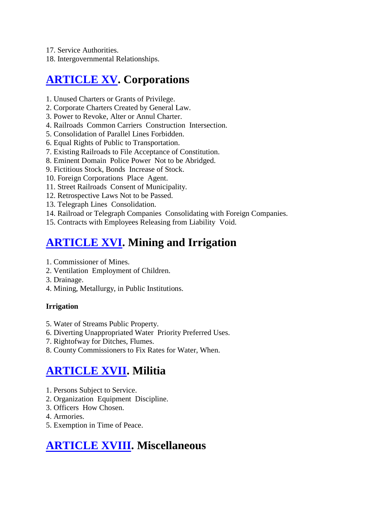- 17. Service Authorities.
- 18. Intergovernmental Relationships.

# **[ARTICLE XV.](http://www.i2i.org/Publications/ColoradoConstitution/cnart15.htm) Corporations**

- 1. Unused Charters or Grants of Privilege.
- 2. Corporate Charters Created by General Law.
- 3. Power to Revoke, Alter or Annul Charter.
- 4. Railroads Common Carriers Construction Intersection.
- 5. Consolidation of Parallel Lines Forbidden.
- 6. Equal Rights of Public to Transportation.
- 7. Existing Railroads to File Acceptance of Constitution.
- 8. Eminent Domain Police Power Not to be Abridged.
- 9. Fictitious Stock, Bonds Increase of Stock.
- 10. Foreign Corporations Place Agent.
- 11. Street Railroads Consent of Municipality.
- 12. Retrospective Laws Not to be Passed.
- 13. Telegraph Lines Consolidation.
- 14. Railroad or Telegraph Companies Consolidating with Foreign Companies.
- 15. Contracts with Employees Releasing from Liability Void.

## **[ARTICLE XVI.](http://www.i2i.org/Publications/ColoradoConstitution/cnart16.htm) Mining and Irrigation**

- 1. Commissioner of Mines.
- 2. Ventilation Employment of Children.
- 3. Drainage.
- 4. Mining, Metallurgy, in Public Institutions.

#### **Irrigation**

- 5. Water of Streams Public Property.
- 6. Diverting Unappropriated Water Priority Preferred Uses.
- 7. Rightofway for Ditches, Flumes.
- 8. County Commissioners to Fix Rates for Water, When.

### **[ARTICLE XVII.](http://www.i2i.org/Publications/ColoradoConstitution/cnart17.htm) Militia**

- 1. Persons Subject to Service.
- 2. Organization Equipment Discipline.
- 3. Officers How Chosen.
- 4. Armories.
- 5. Exemption in Time of Peace.

## **[ARTICLE XVIII.](http://www.i2i.org/Publications/ColoradoConstitution/cnart18.htm) Miscellaneous**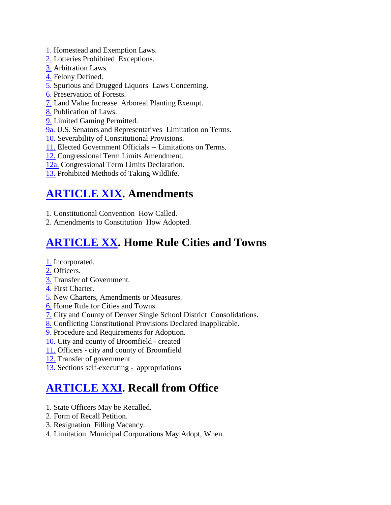- [1.](http://www.i2i.org/Publications/ColoradoConstitution/cnart18.htm#Section%201) Homestead and Exemption Laws.
- [2.](http://www.i2i.org/Publications/ColoradoConstitution/cnart18.htm#Section%202) Lotteries Prohibited Exceptions.
- [3.](http://www.i2i.org/Publications/ColoradoConstitution/cnart18.htm#Section%203) Arbitration Laws.
- [4.](http://www.i2i.org/Publications/ColoradoConstitution/cnart18.htm#Section%204) Felony Defined.
- [5.](http://www.i2i.org/Publications/ColoradoConstitution/cnart18.htm#Section%205) Spurious and Drugged Liquors Laws Concerning.
- [6.](http://www.i2i.org/Publications/ColoradoConstitution/cnart18.htm#Section%206) Preservation of Forests.
- [7.](http://www.i2i.org/Publications/ColoradoConstitution/cnart18.htm#Section%207) Land Value Increase Arboreal Planting Exempt.
- [8.](http://www.i2i.org/Publications/ColoradoConstitution/cnart18.htm#Section%208) Publication of Laws.
- [9.](http://www.i2i.org/Publications/ColoradoConstitution/cnart18.htm#Section%209) Limited Gaming Permitted.
- [9a.](http://www.i2i.org/Publications/ColoradoConstitution/cnart18.htm#Section%209a) U.S. Senators and Representatives Limitation on Terms.
- [10.](http://www.i2i.org/Publications/ColoradoConstitution/cnart18.htm#Section%2010) Severability of Constitutional Provisions.
- [11.](http://www.i2i.org/Publications/ColoradoConstitution/cnart18.htm#Section%2011) Elected Government Officials -- Limitations on Terms.
- [12.](http://www.i2i.org/Publications/ColoradoConstitution/cnart18.htm#Section%2012) Congressional Term Limits Amendment.
- [12a.](http://www.i2i.org/Publications/ColoradoConstitution/cnart18.htm#Section%2012a) Congressional Term Limits Declaration.
- [13.](http://www.i2i.org/Publications/ColoradoConstitution/cnart18.htm#Section%2013) Prohibited Methods of Taking Wildlife.

# **[ARTICLE XIX.](http://www.i2i.org/Publications/ColoradoConstitution/cnart19.htm) Amendments**

- 1. Constitutional Convention How Called.
- 2. Amendments to Constitution How Adopted.

# **[ARTICLE XX.](http://www.i2i.org/Publications/ColoradoConstitution/cnart20.htm) Home Rule Cities and Towns**

- [1.](http://www.i2i.org/Publications/ColoradoConstitution/cnart20.htm#Section%201) Incorporated.
- [2.](http://www.i2i.org/Publications/ColoradoConstitution/cnart20.htm#Section%202) Officers.
- [3.](http://www.i2i.org/Publications/ColoradoConstitution/cnart20.htm#Section%203) Transfer of Government.
- [4.](http://www.i2i.org/Publications/ColoradoConstitution/cnart20.htm#Section%204) First Charter.
- [5.](http://www.i2i.org/Publications/ColoradoConstitution/cnart20.htm#Section%205) New Charters, Amendments or Measures.
- [6.](http://www.i2i.org/Publications/ColoradoConstitution/cnart20.htm#Section%206) Home Rule for Cities and Towns.
- [7.](http://www.i2i.org/Publications/ColoradoConstitution/cnart20.htm#Section%207) City and County of Denver Single School District Consolidations.
- [8.](http://www.i2i.org/Publications/ColoradoConstitution/cnart20.htm#Section%208) Conflicting Constitutional Provisions Declared Inapplicable.
- [9.](http://www.i2i.org/Publications/ColoradoConstitution/cnart20.htm#Section%209) Procedure and Requirements for Adoption.
- [10.](http://www.i2i.org/Publications/ColoradoConstitution/cnart20.htm#Section%2010) City and county of Broomfield created
- [11.](http://www.i2i.org/Publications/ColoradoConstitution/cnart20.htm#Section%2011) Officers city and county of Broomfield
- [12.](http://www.i2i.org/Publications/ColoradoConstitution/cnart20.htm#Section%2012) Transfer of government
- [13.](http://www.i2i.org/Publications/ColoradoConstitution/cnart20.htm#Section%2013) Sections self-executing appropriations

# **[ARTICLE XXI.](http://www.i2i.org/Publications/ColoradoConstitution/cnart21.htm) Recall from Office**

- 1. State Officers May be Recalled.
- 2. Form of Recall Petition.
- 3. Resignation Filling Vacancy.
- 4. Limitation Municipal Corporations May Adopt, When.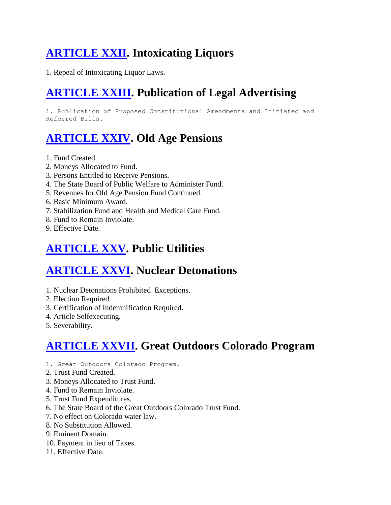# **[ARTICLE XXII.](http://www.i2i.org/Publications/ColoradoConstitution/cnart22.htm) Intoxicating Liquors**

1. Repeal of Intoxicating Liquor Laws.

# **[ARTICLE XXIII.](http://www.i2i.org/Publications/ColoradoConstitution/cnart23.htm) Publication of Legal Advertising**

1. Publication of Proposed Constitutional Amendments and Initiated and Referred Bills.

# **[ARTICLE XXIV.](http://www.i2i.org/Publications/ColoradoConstitution/cnart24.htm) Old Age Pensions**

- 1. Fund Created.
- 2. Moneys Allocated to Fund.
- 3. Persons Entitled to Receive Pensions.
- 4. The State Board of Public Welfare to Administer Fund.
- 5. Revenues for Old Age Pension Fund Continued.
- 6. Basic Minimum Award.
- 7. Stabilization Fund and Health and Medical Care Fund.
- 8. Fund to Remain Inviolate.
- 9. Effective Date.

# **[ARTICLE XXV.](http://www.i2i.org/Publications/ColoradoConstitution/cnart25.htm) Public Utilities**

# **[ARTICLE XXVI.](http://www.i2i.org/Publications/ColoradoConstitution/cnart26.htm) Nuclear Detonations**

- 1. Nuclear Detonations Prohibited Exceptions.
- 2. Election Required.
- 3. Certification of Indemnification Required.
- 4. Article Selfexecuting.
- 5. Severability.

# **[ARTICLE XXVII.](http://www.i2i.org/Publications/ColoradoConstitution/cnart27.htm) Great Outdoors Colorado Program**

- 1. Great Outdoors Colorado Program.
- 2. Trust Fund Created.
- 3. Moneys Allocated to Trust Fund.
- 4. Fund to Remain Inviolate.
- 5. Trust Fund Expenditures.
- 6. The State Board of the Great Outdoors Colorado Trust Fund.
- 7. No effect on Colorado water law.
- 8. No Substitution Allowed.
- 9. Eminent Domain.
- 10. Payment in lieu of Taxes.
- 11. Effective Date.